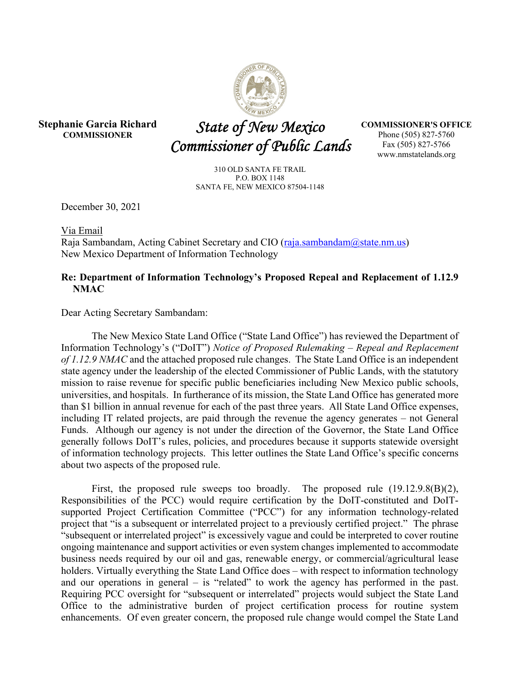

**Stephanie Garcia Richard COMMISSIONER** 

 *State of New Mexico Commissioner of Public Lands* 

**COMMISSIONER'S OFFICE**  Phone (505) 827-5760 Fax (505) 827-5766 www.nmstatelands.org

310 OLD SANTA FE TRAIL P.O. BOX 1148 SANTA FE, NEW MEXICO 87504-1148

December 30, 2021

Via Email

Raja Sambandam, Acting Cabinet Secretary and CIO (raja.sambandam@state.nm.us) New Mexico Department of Information Technology

## **Re: Department of Information Technology's Proposed Repeal and Replacement of 1.12.9 NMAC**

Dear Acting Secretary Sambandam:

The New Mexico State Land Office ("State Land Office") has reviewed the Department of Information Technology's ("DoIT") *Notice of Proposed Rulemaking – Repeal and Replacement of 1.12.9 NMAC* and the attached proposed rule changes. The State Land Office is an independent state agency under the leadership of the elected Commissioner of Public Lands, with the statutory mission to raise revenue for specific public beneficiaries including New Mexico public schools, universities, and hospitals. In furtherance of its mission, the State Land Office has generated more than \$1 billion in annual revenue for each of the past three years. All State Land Office expenses, including IT related projects, are paid through the revenue the agency generates – not General Funds. Although our agency is not under the direction of the Governor, the State Land Office generally follows DoIT's rules, policies, and procedures because it supports statewide oversight of information technology projects. This letter outlines the State Land Office's specific concerns about two aspects of the proposed rule.

First, the proposed rule sweeps too broadly. The proposed rule  $(19.12.9.8(B)(2),$ Responsibilities of the PCC) would require certification by the DoIT-constituted and DoITsupported Project Certification Committee ("PCC") for any information technology-related project that "is a subsequent or interrelated project to a previously certified project." The phrase "subsequent or interrelated project" is excessively vague and could be interpreted to cover routine ongoing maintenance and support activities or even system changes implemented to accommodate business needs required by our oil and gas, renewable energy, or commercial/agricultural lease holders. Virtually everything the State Land Office does – with respect to information technology and our operations in general – is "related" to work the agency has performed in the past. Requiring PCC oversight for "subsequent or interrelated" projects would subject the State Land Office to the administrative burden of project certification process for routine system enhancements. Of even greater concern, the proposed rule change would compel the State Land